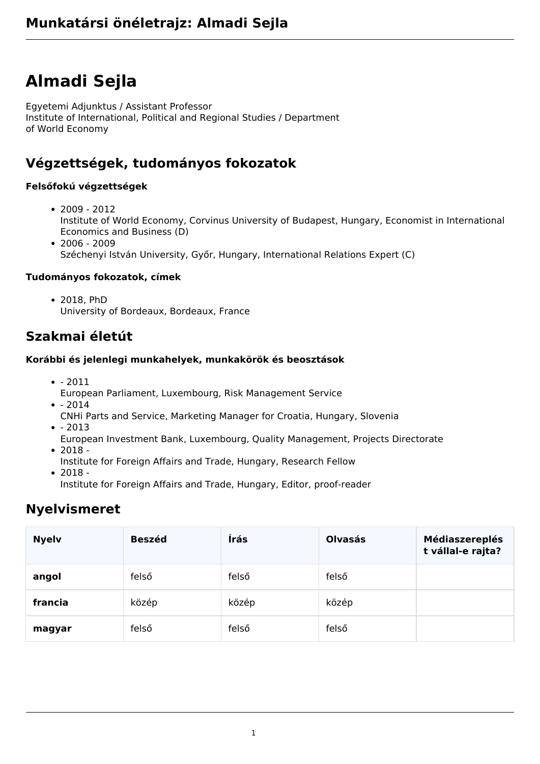# **Almadi Sejla**

Egyetemi Adjunktus / Assistant Professor Institute of International, Political and Regional Studies / Department of World Economy

# **Végzettségek, tudományos fokozatok**

#### **Felsőfokú végzettségek**

- $2009 2012$ Institute of World Economy, Corvinus University of Budapest, Hungary, Economist in International Economics and Business (D)
- $2006 2009$ Széchenyi István University, Győr, Hungary, International Relations Expert (C)

#### **Tudományos fokozatok, címek**

2018, PhD University of Bordeaux, Bordeaux, France

# **Szakmai életút**

#### **Korábbi és jelenlegi munkahelyek, munkakörök és beosztások**

- $2011$ 
	- European Parliament, Luxembourg, Risk Management Service
- $2014$
- CNHi Parts and Service, Marketing Manager for Croatia, Hungary, Slovenia  $-2013$
- European Investment Bank, Luxembourg, Quality Management, Projects Directorate
- $2018 -$
- Institute for Foreign Affairs and Trade, Hungary, Research Fellow
- $2018 -$

Institute for Foreign Affairs and Trade, Hungary, Editor, proof-reader

# **Nyelvismeret**

| <b>Nyelv</b> | <b>Beszéd</b> | Írás  | <b>Olvasás</b> | <b>Médiaszereplés</b><br>t vállal-e rajta? |
|--------------|---------------|-------|----------------|--------------------------------------------|
| angol        | felső         | felső | felső          |                                            |
| francia      | közép         | közép | közép          |                                            |
| magyar       | felső         | felső | felső          |                                            |